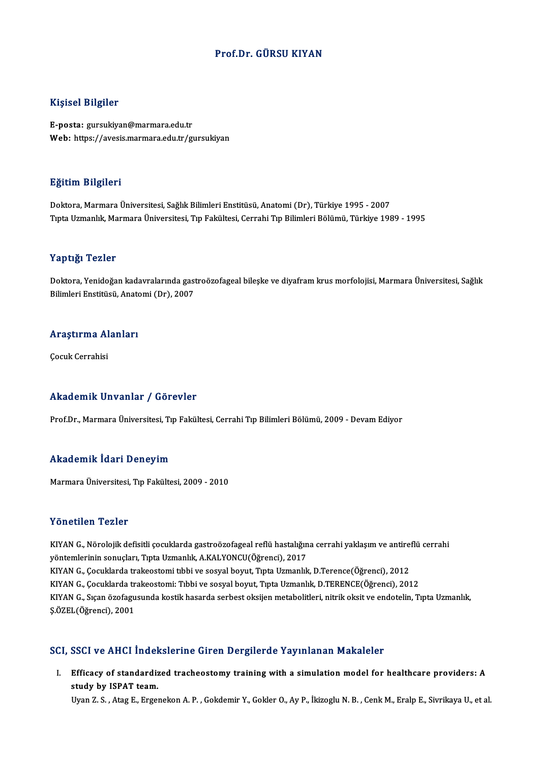## Prof.Dr. GÜRSU KIYAN

## Kişisel Bilgiler

E-posta: gursukiyan@marmara.edu.tr Web: https://avesis.marmara.edu.tr/gursukiyan

### Eğitim Bilgileri

Doktora, Marmara Üniversitesi, Sağlık Bilimleri Enstitüsü, Anatomi (Dr), Türkiye 1995 - 2007 TıptaUzmanlık,MarmaraÜniversitesi,Tıp Fakültesi,CerrahiTıpBilimleriBölümü,Türkiye 1989 -1995

## Yaptığı Tezler

Y**aptığı Tezler**<br>Doktora, Yenidoğan kadavralarında gastroözofageal bileşke ve diyafram krus morfolojisi, Marmara Üniversitesi, Sağlık<br>Bilimleri Enstitüsü, Anatemi (Dr), 2007 1 apesar 1 02101<br>Doktora, Yenidoğan kadavralarında gast<br>Bilimleri Enstitüsü, Anatomi (Dr), 2007

# Bilimleri Ensutusu, Anato<br>Araştırma Alanları <mark>Araştırma Al</mark><br>Çocuk Cerrahisi

# Akademik Unvanlar / Görevler

Prof.Dr., Marmara Üniversitesi, Tıp Fakültesi, Cerrahi Tıp Bilimleri Bölümü, 2009 - Devam Ediyor

### Akademik İdari Deneyim

MarmaraÜniversitesi,Tıp Fakültesi,2009 -2010

## Yönetilen Tezler

Yö**netilen Tezler**<br>KIYAN G., Nörolojik defisitli çocuklarda gastroözofageal reflü hastalığına cerrahi yaklaşım ve antireflü cerrahi<br>vöntemlerinin senyeler: Tınta Uzmanlık, A.KAJ YONCU(Öğrenci), 2017 yöntemlerinin sonuçları<br>KIYAN G., Nörolojik defisitli çocuklarda gastroözofageal reflü hastalığın<br>yöntemlerinin sonuçları, Tıpta Uzmanlık, A.KALYONCU(Öğrenci), 2017<br>KIYAN G. Cosuklarda trakasetomi tibbi ve sosval bayut. Tı KIYAN G., Nörolojik defisitli çocuklarda gastroözofageal reflü hastalığına cerrahi yaklaşım ve antire:<br>yöntemlerinin sonuçları, Tıpta Uzmanlık, A.KALYONCU(Öğrenci), 2017<br>KIYAN G., Çocuklarda trakeostomi: Tıbbi ve sosyal bo yöntemlerinin sonuçları, Tıpta Uzmanlık, A.KALYONCU(Öğrenci), 2017<br>KIYAN G., Çocuklarda trakeostomi tıbbi ve sosyal boyut, Tıpta Uzmanlık, D.Terence(Öğrenci), 2012<br>KIYAN G., Çocuklarda trakeostomi: Tıbbi ve sosyal boyut, T KIYAN G., Sıçan özofagusunda kostik hasarda serbest oksijen metabolitleri, nitrik oksit ve endotelin, Tıpta Uzmanlık, Ş.ÖZEL(Öğrenci),2001

### SCI, SSCI ve AHCI İndekslerine Giren Dergilerde Yayınlanan Makaleler

I. Efficacy of standardized tracheostomy training with a simulationmodel for healthcare providers: A study by ISPAT team.<br>Efficacy of standardiz<br>Ilvan 7.5 – Ates E. Free study by ISPAT team.<br>Uyan Z. S. , Atag E., Ergenekon A. P. , Gokdemir Y., Gokler O., Ay P., İkizoglu N. B. , Cenk M., Eralp E., Sivrikaya U., et al.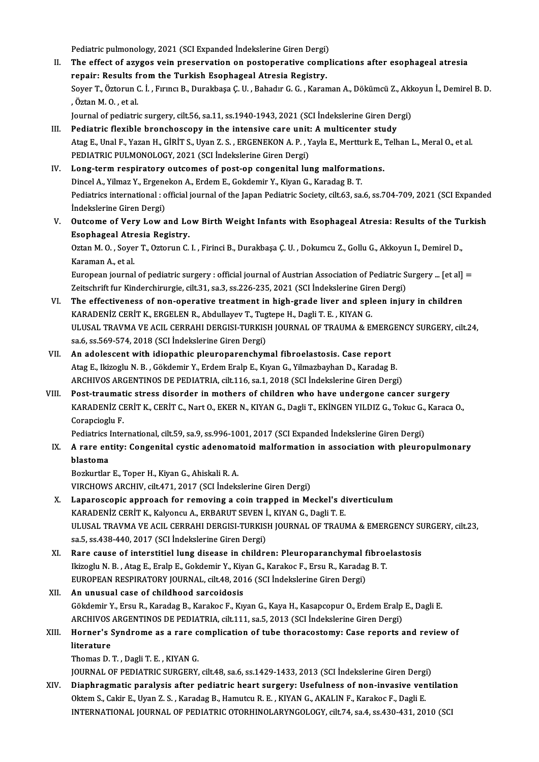Pediatric pulmonology, 2021 (SCI Expanded İndekslerine Giren Dergi)<br>The effect of equaes voin preservation en nestenerative sempl

- II. The effect of azygos vein preservation on postoperative complications after esophageal atresia<br>repair: Results from the Turkish Esophageal Atresia Registry. Pediatric pulmonology, 2021 (SCI Expanded Indekslerine Giren Dergi)<br>The effect of azygos vein preservation on postoperative comp<br>repair: Results from the Turkish Esophageal Atresia Registry.<br>Sever T. Österun C. İ. Erring B The effect of azygos vein preservation on postoperative complications after esophageal atresia<br>repair: Results from the Turkish Esophageal Atresia Registry.<br>Soyer T., Öztorun C. İ. , Fırıncı B., Durakbaşa Ç. U. , Bahadır G r<mark>epair: Results f</mark><br>Soyer T., Öztorun (<br>, Öztan M. O. , et al.<br>Journal of podiatri Soyer T., Öztorun C. İ. , Fırıncı B., Durakbaşa Ç. U. , Bahadır G. G. , Karaman A., Dökümcü Z., Akk<br>, Öztan M. O. , et al.<br>Journal of pediatric surgery, cilt.56, sa.11, ss.1940-1943, 2021 (SCI İndekslerine Giren Dergi)<br>Ped Solum M. O., et al.<br>Journal of pediatric surgery, cilt.56, sa.11, ss.1940-1943, 2021 (SCI Indekslerine Giren Den<br>III. Pediatric flexible bronchoscopy in the intensive care unit: A multicenter study<br>Ates E. Unal E. Yaran H.
- Journal of pediatric surgery, cilt.56, sa.11, ss.1940-1943, 2021 (SCI İndekslerine Giren Dergi)<br>Pediatric flexible bronchoscopy in the intensive care unit: A multicenter study<br>Atag E., Unal F., Yazan H., GİRİT S., Uyan Z. Pediatric flexible bronchoscopy in the intensive care unit:<br>Atag E., Unal F., Yazan H., GİRİT S., Uyan Z. S. , ERGENEKON A. P. , Y<br>PEDIATRIC PULMONOLOGY, 2021 (SCI İndekslerine Giren Dergi)<br>Lang tarım respiratoru euteemes Atag E., Unal F., Yazan H., GIRIT S., Uyan Z. S., ERGENEKON A. P., Yayla E., Mertturk E., '<br>PEDIATRIC PULMONOLOGY, 2021 (SCI Indekslerine Giren Dergi)<br>IV. Long-term respiratory outcomes of post-op congenital lung malformat
- PEDIATRIC PULMONOLOGY, 2021 (SCI İndekslerine Giren Dergi)<br>Long-term respiratory outcomes of post-op congenital lung malformat<br>Dincel A., Yilmaz Y., Ergenekon A., Erdem E., Gokdemir Y., Kiyan G., Karadag B. T.<br>Pediatrics i Pediatrics international : official journal of the Japan Pediatric Society, cilt.63, sa.6, ss.704-709, 2021 (SCI Expanded Indekslerine Giren Dergi) Dincel A., Yilmaz Y., Ergenekon A., Erdem E., Gokdemir Y., Kiyan G., Karadag B. T. Pediatrics international : official journal of the Japan Pediatric Society, cilt.63, sa.6, ss.704-709, 2021 (SCI Expanded indekslerine Giren Dergi)<br>V. Outcome of Very Low and Low Birth Weight Infants with Esophageal Atresi
- Indekslerine Giren Dergi)<br>Outcome of Very Low and Lo<br>Esophageal Atresia Registry.<br>Orton M.O., Sover T. Ortonun C. Outcome of Very Low and Low Birth Weight Infants with Esophageal Atresia: Results of the Tu<br>Esophageal Atresia Registry.<br>Oztan M. O. , Soyer T., Oztorun C. I. , Firinci B., Durakbaşa Ç. U. , Dokumcu Z., Gollu G., Akkoyun I

Esophageal Atresia Registry.<br>Oztan M. O. , Soyer T., Oztorun C. I. , Firinci B., Durakbaşa Ç. U. , Dokumcu Z., Gollu G., Akkoyun I., Demirel D.,<br>Karaman A., et al. Oztan M. O. , Soyer T., Oztorun C. I. , Firinci B., Durakbaşa Ç. U. , Dokumcu Z., Gollu G., Akkoyun I., Demirel D.,<br>Karaman A., et al.<br>European journal of pediatric surgery : official journal of Austrian Association of Ped

Karaman A., et al.<br>European journal of pediatric surgery : official journal of Austrian Association of Pediatric S<br>Zeitschrift fur Kinderchirurgie, cilt.31, sa.3, ss.226-235, 2021 (SCI İndekslerine Giren Dergi)<br>The effecti European journal of pediatric surgery : official journal of Austrian Association of Pediatric Surgery ... [et al]<br>Zeitschrift fur Kinderchirurgie, cilt.31, sa.3, ss.226-235, 2021 (SCI İndekslerine Giren Dergi)<br>VI. The effe

- Zeitschrift fur Kinderchirurgie, cilt.31, sa.3, ss.226-235, 2021 (SCI İndekslerine Giren Dergi)<br>The effectiveness of non-operative treatment in high-grade liver and spleen injury in children<br>KARADENİZ CERİT K., ERGELEN R., VI. The effectiveness of non-operative treatment in high-grade liver and spleen injury in children<br>KARADENIZ CERIT K., ERGELEN R., Abdullayev T., Tugtepe H., Dagli T. E., KIYAN G.<br>ULUSAL TRAVMA VE ACIL CERRAHI DERGISI-TURK KARADENİZ CERİT K., ERGELEN R., Abdullayev T., Tugtepe H., Dagli T. E., KIYAN G.
- VII. An adolescent with idiopathic pleuroparenchymal fibroelastosis. Case report AtagE., IkizogluN.B. ,Gökdemir Y.,ErdemEralpE.,KıyanG.,YilmazbayhanD.,KaradagB. ARCHIVOS ARGENTINOS DE PEDIATRIA, cilt.116, sa.1, 2018 (SCI İndekslerine Giren Dergi)
- VIII. Post-traumatic stress disorder in mothers of children who have undergone cancer surgery ARCHIVOS ARGENTINOS DE PEDIATRIA, cilt.116, sa.1, 2018 (SCI İndekslerine Giren Dergi)<br>Post-traumatic stress disorder in mothers of children who have undergone cancer surgery<br>KARADENİZ CERİT K., CERİT C., Nart O., EKER N., Corapcioglu F. KARADENİZ CERİT K., CERİT C., Nart O., EKER N., KIYAN G., Dagli T., EKİNGEN YILDIZ G., Tokuc G.,<br>Corapcioglu F.<br>Pediatrics International, cilt.59, sa.9, ss.996-1001, 2017 (SCI Expanded İndekslerine Giren Dergi)<br>A rana anti

Corapcioglu F.<br>Pediatrics International, cilt.59, sa.9, ss.996-1001, 2017 (SCI Expanded İndekslerine Giren Dergi)<br>IX. A rare entity: Congenital cystic adenomatoid malformation in association with pleuropulmonary<br>hlaste Pediatrics International, cilt.59, sa.9, ss.996-1001, 2017 (SCI Expanded Indekslerine Giren Dergi)<br>A rare entity: Congenital cystic adenomatoid malformation in association with pleuro<br>blastoma<br>Bozkurtlar E., Toper H., Kiya A rare entity: Congenital cystic adenoma<br>blastoma<br>Bozkurtlar E., Toper H., Kiyan G., Ahiskali R. A.<br>VIRCHOWS ARCHIV, silt 471, 2017 (SCL indeks

VIRCHOWSARCHIV, cilt.471,2017 (SCI İndekslerineGirenDergi)

- Bozkurtlar E., Toper H., Kiyan G., Ahiskali R. A.<br>VIRCHOWS ARCHIV, cilt.471, 2017 (SCI İndekslerine Giren Dergi)<br>X. Laparoscopic approach for removing a coin trapped in Meckel's diverticulum<br>KARADENİZ CERİT K. Kalvonay A. VIRCHOWS ARCHIV, cilt.471, 2017 (SCI İndekslerine Giren Dergi)<br>Laparoscopic approach for removing a coin trapped in Meckel's d:<br>KARADENİZ CERİT K., Kalyoncu A., ERBARUT SEVEN İ., KIYAN G., Dagli T. E.<br>ULUSAL TRAVMA VE ACU, KARADENİZ CERİT K., Kalyoncu A., ERBARUT SEVEN İ., KIYAN G., Dagli T. E.<br>ULUSAL TRAVMA VE ACIL CERRAHI DERGISI-TURKISH JOURNAL OF TRAUMA & EMERGENCY SURGERY, cilt.23, sa.5, ss.438-440, 2017 (SCI İndekslerine Giren Dergi) ULUSAL TRAVMA VE ACIL CERRAHI DERGISI-TURKISH JOURNAL OF TRAUMA & EMERGENCY SU<br>sa.5, ss.438-440, 2017 (SCI Indekslerine Giren Dergi)<br>XI. Rare cause of interstitiel lung disease in children: Pleuroparanchymal fibroelastosis
- sa.5, ss.438-440, 2017 (SCI İndekslerine Giren Dergi)<br>Rare cause of interstitiel lung disease in children: Pleuroparanchymal fibroe<br>Ikizoglu N. B., Atag E., Eralp E., Gokdemir Y., Kiyan G., Karakoc F., Ersu R., Karadag B. Rare cause of interstitiel lung disease in children: Pleuroparanchymal f<br>Ikizoglu N. B., Atag E., Eralp E., Gokdemir Y., Kiyan G., Karakoc F., Ersu R., Karadag<br>EUROPEAN RESPIRATORY JOURNAL, cilt.48, 2016 (SCI İndekslerine Ikizoglu N. B., Atag E., Eralp E., Gokdemir Y., Kiy<br>EUROPEAN RESPIRATORY JOURNAL, cilt.48, 201<br>XII. An unusual case of childhood sarcoidosis
- EUROPEAN RESPIRATORY JOURNAL, cilt.48, 2016 (SCI İndekslerine Giren Dergi)<br>An unusual case of childhood sarcoidosis<br>Gökdemir Y., Ersu R., Karadag B., Karakoc F., Kıyan G., Kaya H., Kasapcopur O., Erdem Eralp E., Dagli E.<br>A An unusual case of childhood sarcoidosis<br>Gökdemir Y., Ersu R., Karadag B., Karakoc F., Kıyan G., Kaya H., Kasapcopur O., Erdem Eralp<br>ARCHIVOS ARGENTINOS DE PEDIATRIA, cilt.111, sa.5, 2013 (SCI İndekslerine Giren Dergi)<br>Her Gökdemir Y., Ersu R., Karadag B., Karakoc F., Kıyan G., Kaya H., Kasapcopur O., Erdem Eralp E., Dagli E.<br>ARCHIVOS ARGENTINOS DE PEDIATRIA, cilt.111, sa.5, 2013 (SCI İndekslerine Giren Dergi)<br>XIII. Horner's Syndrome as a ra

## ARCHIVOS ARGENTINOS DE PEDIATRIA, cilt.111, sa.5, 2013 (SCI Indekslerine Giren Dergi)<br>Horner's Syndrome as a rare complication of tube thoracostomy: Case reports :<br>literature<br>Thomas D. T., Dagli T. E., KIYAN G. Horner's Syndrome as a rare c<br>literature<br>Thomas D.T., Dagli T.E., KIYAN G.<br>JOUPNAL OF PEDIATRIC SURCERV literature<br>Thomas D. T. , Dagli T. E. , KIYAN G.<br>JOURNAL OF PEDIATRIC SURGERY, cilt.48, sa.6, ss.1429-1433, 2013 (SCI İndekslerine Giren Dergi)<br>Dianhyagmatia paralysis aftar padiatyja boart surgary: Hasfulness af non-invas

Thomas D. T. , Dagli T. E. , KIYAN G.<br>JOURNAL OF PEDIATRIC SURGERY, cilt.48, sa.6, ss.1429-1433, 2013 (SCI Indekslerine Giren Dergi)<br>XIV. Diaphragmatic paralysis after pediatric heart surgery: Usefulness of non-invasive ve JOURNAL OF PEDIATRIC SURGERY, cilt.48, sa.6, ss.1429-1433, 2013 (SCI İndekslerine Giren Dergi<br>Diaphragmatic paralysis after pediatric heart surgery: Usefulness of non-invasive ven<br>Oktem S., Cakir E., Uyan Z. S. , Karadag B Diaphragmatic paralysis after pediatric heart surgery: Usefulness of non-invasive ventilation<br>Oktem S., Cakir E., Uyan Z. S. , Karadag B., Hamutcu R. E. , KIYAN G., AKALIN F., Karakoc F., Dagli E.<br>INTERNATIONAL JOURNAL OF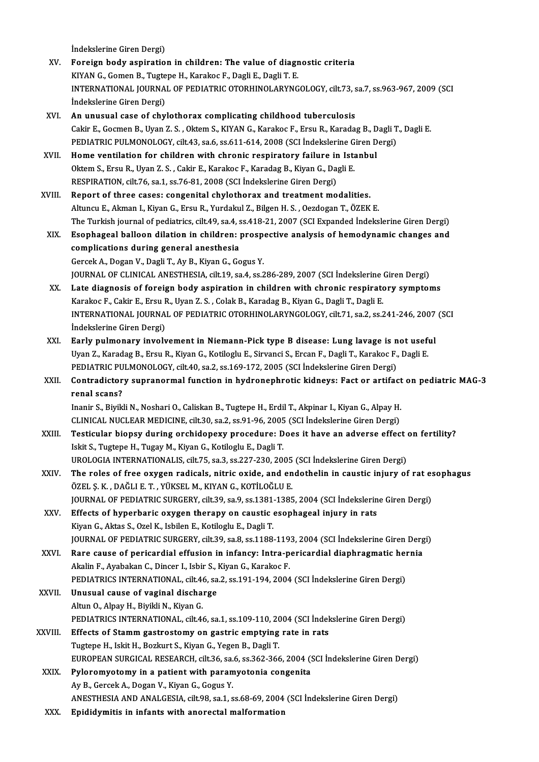İndekslerine Giren Dergi)

- XV. Foreign body aspiration in children: The value of diagnostic criteria İndekslerine Giren Dergi)<br>Foreign body aspiration in children: The value of diagr<br>KIYAN G., Gomen B., Tugtepe H., Karakoc F., Dagli E., Dagli T. E.<br>INTERNATIONAL JOURNAL OF REDIATRIC OTORHINOLARYNC INTERNATIONAL JOURNAL OF PEDIATRIC OTORHINOLARYNGOLOGY, cilt.73, sa.7, ss.963-967, 2009 (SCI Indekslerine Giren Dergi) KIYAN G., Gomen B., Tugte<br>INTERNATIONAL JOURNA<br>İndekslerine Giren Dergi)<br>An unusual case of shv
- XVI. An unusual case of chylothorax complicating childhood tuberculosis İndekslerine Giren Dergi)<br>An unusual case of chylothorax complicating childhood tuberculosis<br>Cakir E., Gocmen B., Uyan Z. S. , Oktem S., KIYAN G., Karakoc F., Ersu R., Karadag B., Dagli T., Dagli E.<br>PEDLATRIC PHLMONOLOCY, An unusual case of chylothorax complicating childhood tuberculosis<br>Cakir E., Gocmen B., Uyan Z. S. , Oktem S., KIYAN G., Karakoc F., Ersu R., Karadag B., Dagli T<br>PEDIATRIC PULMONOLOGY, cilt.43, sa.6, ss.611-614, 2008 (SCI PEDIATRIC PULMONOLOGY, cilt.43, sa.6, ss.611-614, 2008 (SCI İndekslerine Giren Dergi)<br>XVII. Home ventilation for children with chronic respiratory failure in Istanbul
- PEDIATRIC PULMONOLOGY, cilt.43, sa.6, ss.611-614, 2008 (SCI İndekslerine G<br>Home ventilation for children with chronic respiratory failure in Ista<br>Oktem S., Ersu R., Uyan Z. S. , Cakir E., Karakoc F., Karadag B., Kiyan G., Home ventilation for children with chronic respiratory failure in<br>Oktem S., Ersu R., Uyan Z. S. , Cakir E., Karakoc F., Karadag B., Kiyan G., Da,<br>RESPIRATION, cilt.76, sa.1, ss.76-81, 2008 (SCI İndekslerine Giren Dergi)<br>Pe Oktem S., Ersu R., Uyan Z. S., Cakir E., Karakoc F., Karadag B., Kiyan G., Dagli E.<br>RESPIRATION, cilt.76, sa.1, ss.76-81, 2008 (SCI Indekslerine Giren Dergi)<br>XVIII. Report of three cases: congenital chylothorax and treatme
- RESPIRATION, cilt.76, sa.1, ss.76-81, 2008 (SCI İndekslerine Giren Dergi)<br>Report of three cases: congenital chylothorax and treatment modalities.<br>Altuncu E., Akman I., Kiyan G., Ersu R., Yurdakul Z., Bilgen H. S. , Oezdoga Report of three cases: congenital chylothorax and treatment modalities.<br>Altuncu E., Akman I., Kiyan G., Ersu R., Yurdakul Z., Bilgen H. S. , Oezdogan T., ÖZEK E.<br>The Turkish journal of pediatrics, cilt.49, sa.4, ss.418-21, Altuncu E., Akman I., Kiyan G., Ersu R., Yurdakul Z., Bilgen H. S. , Oezdogan T., ÖZEK E.<br>The Turkish journal of pediatrics, cilt.49, sa.4, ss.418-21, 2007 (SCI Expanded Indekslerine Giren Dergi)<br>XIX. Esophageal balloon di
- The Turkish journal of pediatrics, cilt.49, sa.4, s<br>Esophageal balloon dilation in children: <sub>]</sub><br>complications during general anesthesia<br>Carsek A. Dogan V. Dagli T. Ay B. *Vivon C. C*a Esophageal balloon dilation in children: prospective analysis of hemodynamic changes and<br>complications during general anesthesia<br>Gercek A., Dogan V., Dagli T., Ay B., Kiyan G., Gogus Y. JOURNALOF CLINICALANESTHESIA, cilt.19, sa.4, ss.286-289,2007 (SCI İndekslerineGirenDergi) Gercek A., Dogan V., Dagli T., Ay B., Kiyan G., Gogus Y.<br>JOURNAL OF CLINICAL ANESTHESIA, cilt.19, sa.4, ss.286-289, 2007 (SCI İndekslerine Giren Dergi)<br>XX. Late diagnosis of foreign body aspiration in children with chronic
- JOURNAL OF CLINICAL ANESTHESIA, cilt.19, sa.4, ss.286-289, 2007 (SCI İndekslerine (<br>Late diagnosis of foreign body aspiration in children with chronic respirate<br>Karakoc F., Cakir E., Ersu R., Uyan Z. S. , Colak B., Karadag Late diagnosis of foreign body aspiration in children with chronic respiratory symptoms<br>Karakoc F., Cakir E., Ersu R., Uyan Z. S. , Colak B., Karadag B., Kiyan G., Dagli T., Dagli E.<br>INTERNATIONAL JOURNAL OF PEDIATRIC OTOR Karakoc F., Cakir E., Ersu R., Uyan Z. S. , Colak B., Karadag B., Kiyan G., Dagli T., Dagli E.<br>INTERNATIONAL JOURNAL OF PEDIATRIC OTORHINOLARYNGOLOGY, cilt.71, sa.2, ss.241-246, 2007 (SCI<br>İndekslerine Giren Dergi) INTERNATIONAL JOURNAL OF PEDIATRIC OTORHINOLARYNGOLOGY, cilt.71, sa.2, ss.241-246, 2007<br>
indekslerine Giren Dergi)<br>XXI. Early pulmonary involvement in Niemann-Pick type B disease: Lung lavage is not useful<br>
Ilian 7, Karada
- İndekslerine Giren Dergi)<br>Early pulmonary involvement in Niemann-Pick type B disease: Lung lavage is not useft<br>Uyan Z., Karadag B., Ersu R., Kiyan G., Kotiloglu E., Sirvanci S., Ercan F., Dagli T., Karakoc F., Dagli E.<br>RED Early pulmonary involvement in Niemann-Pick type B disease: Lung lavage is n<br>Uyan Z., Karadag B., Ersu R., Kiyan G., Kotiloglu E., Sirvanci S., Ercan F., Dagli T., Karakoc F.,<br>PEDIATRIC PULMONOLOGY, cilt.40, sa.2, ss.169-1 Uyan Z., Karadag B., Ersu R., Kiyan G., Kotiloglu E., Sirvanci S., Ercan F., Dagli T., Karakoc F., Dagli E.<br>PEDIATRIC PULMONOLOGY, cilt.40, sa.2, ss.169-172, 2005 (SCI İndekslerine Giren Dergi)<br>XXII. Contradictory supr
- PEDIATRIC PULMONOLOGY, cilt.40, sa.2, ss.169-172, 2005 (SCI İndekslerine Giren Dergi)<br>Contradictory supranormal function in hydronephrotic kidneys: Fact or artifact<br>renal scans?<br>Inanir S., Biyikli N., Noshari O., Caliskan Contradictory supranormal function in hydronephrotic kidneys: Fact or artifact<br>renal scans?<br>Inanir S., Biyikli N., Noshari O., Caliskan B., Tugtepe H., Erdil T., Akpinar I., Kiyan G., Alpay H.<br>CLINICAL NUCLEAR MEDICINE sil renal scans?<br>Inanir S., Biyikli N., Noshari O., Caliskan B., Tugtepe H., Erdil T., Akpinar I., Kiyan G., Alpay H.<br>CLINICAL NUCLEAR MEDICINE, cilt.30, sa.2, ss.91-96, 2005 (SCI İndekslerine Giren Dergi)<br>Testisular bianey du

- XXIII. Testicular biopsy during orchidopexy procedure: Does it have an adverse effect on fertility?<br>Iskit S., Tugtepe H., Tugay M., Kiyan G., Kotiloglu E., Dagli T. CLINICAL NUCLEAR MEDICINE, cilt.30, sa.2, ss.91-96, 2005<br>Testicular biopsy during orchidopexy procedure: D<br>Iskit S., Tugtepe H., Tugay M., Kiyan G., Kotiloglu E., Dagli T.<br>UPOLOGIA INTERNATIONALIS silt.75, ss.2, ss.227, 22 Testicular biopsy during orchidopexy procedure: Does it have an adverse effect<br>Iskit S., Tugtepe H., Tugay M., Kiyan G., Kotiloglu E., Dagli T.<br>UROLOGIA INTERNATIONALIS, cilt.75, sa.3, ss.227-230, 2005 (SCI İndekslerine Gi Iskit S., Tugtepe H., Tugay M., Kiyan G., Kotiloglu E., Dagli T.<br>UROLOGIA INTERNATIONALIS, cilt.75, sa.3, ss.227-230, 2005 (SCI İndekslerine Giren Dergi)<br>XXIV. The roles of free oxygen radicals, nitric oxide, and endotheli
- UROLOGIA INTERNATIONALIS, cilt.75, sa.3, ss.227-230, 2005<br>The roles of free oxygen radicals, nitric oxide, and en<br>ÖZEL Ş. K. , DAĞLI E. T. , YÜKSEL M., KIYAN G., KOTİLOĞLU E.<br>JOUPNAL OF PEDIATRIC SURCERY, silt 29, ss.9, ss The roles of free oxygen radicals, nitric oxide, and endothelin in caustic injury of rat es<br>ÖZEL Ş. K. , DAĞLI E. T. , YÜKSEL M., KIYAN G., KOTİLOĞLU E.<br>JOURNAL OF PEDIATRIC SURGERY, cilt.39, sa.9, ss.1381-1385, 2004 (SCI ÖZEL Ş. K. , DAĞLI E. T. , YÜKSEL M., KIYAN G., KOTİLOĞLU E.<br>JOURNAL OF PEDIATRIC SURGERY, cilt.39, sa.9, ss.1381-1385, 2004 (SCI İndekslerin<br>XXV. Effects of hyperbaric oxygen therapy on caustic esophageal injury in rats<br>K
- JOURNAL OF PEDIATRIC SURGERY, cilt.39, sa.9, ss.1381<br>Effects of hyperbaric oxygen therapy on caustic<br>Kiyan G., Aktas S., Ozel K., Isbilen E., Kotiloglu E., Dagli T.<br>JOUPNAL OF PEDIATRIC SURCERY, cilt 29, ss.8, ss.1199. Effects of hyperbaric oxygen therapy on caustic esophageal injury in rats<br>Kiyan G., Aktas S., Ozel K., Isbilen E., Kotiloglu E., Dagli T.<br>JOURNAL OF PEDIATRIC SURGERY, cilt.39, sa.8, ss.1188-1193, 2004 (SCI İndekslerine Gi Kiyan G., Aktas S., Ozel K., Isbilen E., Kotiloglu E., Dagli T.<br>JOURNAL OF PEDIATRIC SURGERY, cilt.39, sa.8, ss.1188-1193, 2004 (SCI İndekslerine Giren Derg<br>XXVI. Rare cause of pericardial effusion in infancy: Intra-perica
- JOURNAL OF PEDIATRIC SURGERY, cilt.39, sa.8, ss.1188-119<br>Rare cause of pericardial effusion in infancy: Intra-p<br>Akalin F., Ayabakan C., Dincer I., Isbir S., Kiyan G., Karakoc F.<br>PEDIATRICS INTERNATIONAL cilt 46, sa 2, ss.1 Rare cause of pericardial effusion in infancy: Intra-pericardial diaphragmatic hel<br>Akalin F., Ayabakan C., Dincer I., Isbir S., Kiyan G., Karakoc F.<br>PEDIATRICS INTERNATIONAL, cilt.46, sa.2, ss.191-194, 2004 (SCI İndeksleri Akalin F., Ayabakan C., Dincer I., Isbir S., 1<br>PEDIATRICS INTERNATIONAL, cilt.46, sa<br>XXVII. Unusual cause of vaginal discharge
- PEDIATRICS INTERNATIONAL, cilt.46<br>Unusual cause of vaginal discha:<br>Altun O., Alpay H., Biyikli N., Kiyan G.<br>PEDIATRICS INTERNATIONAL .cilt.44 Unusual cause of vaginal discharge<br>Altun O., Alpay H., Biyikli N., Kiyan G.<br>PEDIATRICS INTERNATIONAL, cilt.46, sa.1, ss.109-110, 2004 (SCI İndekslerine Giren Dergi)<br>Effects of Stamm sastrostomu on sastris emntuins nata in Altun O., Alpay H., Biyikli N., Kiyan G.<br>PEDIATRICS INTERNATIONAL, cilt.46, sa.1, ss.109-110, 2004 (SCI İndel<br>XXVIII. Effects of Stamm gastrostomy on gastric emptying rate in rats<br>Tugtepe H., Iskit H., Bozkurt S., Kiyan G. PEDIATRICS INTERNATIONAL, cilt.46, sa.1, ss.109-110, 20<br>Effects of Stamm gastrostomy on gastric emptying<br>Tugtepe H., Iskit H., Bozkurt S., Kiyan G., Yegen B., Dagli T.<br>FUROPEAN SURCICAL RESEARCH silt 26, ss.6, ss.262, 266 Effects of Stamm gastrostomy on gastric emptying rate in rats<br>Tugtepe H., Iskit H., Bozkurt S., Kiyan G., Yegen B., Dagli T.<br>EUROPEAN SURGICAL RESEARCH, cilt.36, sa.6, ss.362-366, 2004 (SCI İndekslerine Giren Dergi)<br>Pylono
	-
	- Tugtepe H., Iskit H., Bozkurt S., Kiyan G., Yegen B., Dagli T.<br>EUROPEAN SURGICAL RESEARCH, cilt.36, sa.6, ss.362-366, 2004 (SXXIX. Pyloromyotomy in a patient with paramyotonia congenita EUROPEAN SURGICAL RESEARCH, cilt.36, sa.<br>Pyloromyotomy in a patient with param<br>Ay B., Gercek A., Dogan V., Kiyan G., Gogus Y.<br>ANESTHESIA AND ANALGESIA, silt.09, sp.1, s Pyloromyotomy in a patient with paramyotonia congenita<br>Ay B., Gercek A., Dogan V., Kiyan G., Gogus Y.<br>ANESTHESIA AND ANALGESIA, cilt.98, sa.1, ss.68-69, 2004 (SCI İndekslerine Giren Dergi)
	- XXX. Epididymitis in infants with anorectal malformation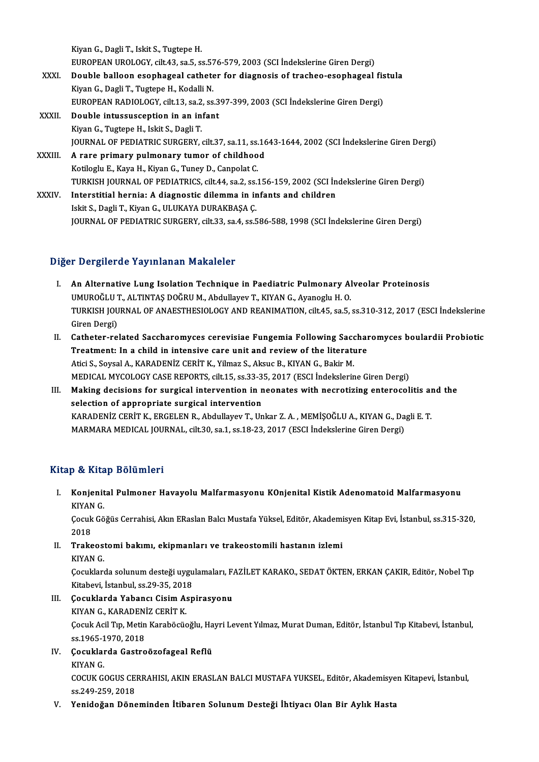KiyanG.,DagliT., IskitS.,TugtepeH. Kiyan G., Dagli T., Iskit S., Tugtepe H.<br>EUROPEAN UROLOGY, cilt.43, sa.5, ss.576-579, 2003 (SCI İndekslerine Giren Dergi)<br>Double balleen esenbageel satbeten for diagnesis of trasbee, esenbageel

- XXXI. Double balloon esophageal catheter for diagnosis of tracheo-esophageal fistula<br>Kiyan G., Dagli T., Tugtepe H., Kodalli N. EUROPEAN UROLOGY, cilt.43, sa.5, ss.57<br>Double balloon esophageal cathete<br>Kiyan G., Dagli T., Tugtepe H., Kodalli N.<br>EUROPEAN BADIOLOGY, silt.13, sp.3, sp Double balloon esophageal catheter for diagnosis of tracheo-esophageal fis<br>Kiyan G., Dagli T., Tugtepe H., Kodalli N.<br>EUROPEAN RADIOLOGY, cilt.13, sa.2, ss.397-399, 2003 (SCI İndekslerine Giren Dergi)<br>Double intussussentio
- XXXII. Double intussusception in an infant<br>Kiyan G., Tugtepe H., Iskit S., Dagli T. EUROPEAN RADIOLOGY, cilt.13, sa.2<br>Double intussusception in an in<br>Kiyan G., Tugtepe H., Iskit S., Dagli T.<br>JOUPMAL OF PEDIATPLC SUPCEPY Double intussusception in an infant<br>Kiyan G., Tugtepe H., Iskit S., Dagli T.<br>JOURNAL OF PEDIATRIC SURGERY, cilt.37, sa.11, ss.1643-1644, 2002 (SCI İndekslerine Giren Dergi)<br>A. rare primary pulmenary tumer of shildhaad Kiyan G., Tugtepe H., Iskit S., Dagli T.<br>JOURNAL OF PEDIATRIC SURGERY, cilt.37, sa.11, ss.16<br>XXXIII. A rare primary pulmonary tumor of childhood<br>Kotilogiu E. Kayo H. Kiyan C. Tunay D. Cannelat C.
- A rare primary pulmonary tumor of childhood<br>Kotiloglu E., Kaya H., Kiyan G., Tuney D., Canpolat C. TURKISH JOURNAL OF PEDIATRICS, cilt.44, sa.2, ss.156-159, 2002 (SCI İndekslerine Giren Dergi) XXXIV. Interstitial hernia: A diagnostic dilemma in infants and children
	- Iskit S., Dagli T., Kiyan G., ULUKAYA DURAKBAŞA Ç. JOURNAL OF PEDIATRIC SURGERY, cilt.33, sa.4, ss.586-588, 1998 (SCI İndekslerine Giren Dergi)

## Diğer Dergilerde Yayınlanan Makaleler

- I. An Alternative Lung Isolation Technique in Paediatric Pulmonary Alveolar Proteinosis T Dergiferate Tay Infanan Makareter<br>An Alternative Lung Isolation Technique in Paediatric Pulmonary Al<br>UMUROĞLU T., ALTINTAŞ DOĞRU M., Abdullayev T., KIYAN G., Ayanoglu H. O.<br>TURKISH JOURNAL OF ANAESTHESIOLOCY AND REANIMAT TURKISH JOURNAL OF ANAESTHESIOLOGY AND REANIMATION, cilt.45, sa.5, ss.310-312, 2017 (ESCI İndekslerine<br>Giren Dergi) UMUROĞLU 1<br>TURKISH JOU<br>Giren Dergi)<br>Cathatar ra TURKISH JOURNAL OF ANAESTHESIOLOGY AND REANIMATION, cilt.45, sa.5, ss.310-312, 2017 (ESCI İndekslerine<br>Giren Dergi)<br>II. Catheter-related Saccharomyces cerevisiae Fungemia Following Saccharomyces boulardii Probiotic<br>Treatme
- Giren Dergi)<br>Catheter-related Saccharomyces cerevisiae Fungemia Following Sacchar<br>Treatment: In a child in intensive care unit and review of the literature<br>Atici S. Soveel A. KARADENİZ CERİT K. Vilmaz S. Akaye B. KIVAN C. Catheter-related Saccharomyces cerevisiae Fungemia Following Saccharomyces cerevisiae Fungemia Following Sacchare<br>Atici S., Soysal A., KARADENİZ CERİT K., Yilmaz S., Aksuc B., KIYAN G., Bakir M.<br>MEDICAL MYCOLOCY CASE PEROP Treatment: In a child in intensive care unit and review of the literature<br>Atici S., Soysal A., KARADENİZ CERİT K., Yilmaz S., Aksuc B., KIYAN G., Bakir M.<br>MEDICAL MYCOLOGY CASE REPORTS, cilt.15, ss.33-35, 2017 (ESCI İndeks Atici S., Soysal A., KARADENİZ CERİT K., Yilmaz S., Aksuc B., KIYAN G., Bakir M.<br>MEDICAL MYCOLOGY CASE REPORTS, cilt.15, ss.33-35, 2017 (ESCI İndekslerine Giren Dergi)<br>III. Making decisions for surgical intervention in neo
- MEDICAL MYCOLOGY CASE REPORTS, cilt.15, ss.33-3<br>Making decisions for surgical intervention in n<br>selection of appropriate surgical intervention<br>KARADENIZ CERIT K. ERCELEN R. Abdullarov T. Un Making decisions for surgical intervention in neonates with necrotizing enterocolitis an<br>selection of appropriate surgical intervention<br>KARADENİZ CERİT K., ERGELEN R., Abdullayev T., Unkar Z.A. , MEMİŞOĞLU A., KIYAN G., Da selection of appropriate surgical intervention<br>KARADENİZ CERİT K., ERGELEN R., Abdullayev T., Unkar Z. A. , MEMİŞOĞLU A., KIYAN G., Dagli E. T.<br>MARMARA MEDICAL JOURNAL, cilt.30, sa.1, ss.18-23, 2017 (ESCI İndekslerine Gire

## Kitap & Kitap Bölümleri

itap & Kitap Bölümleri<br>I. Konjenital Pulmoner Havayolu Malfarmasyonu K0njenital Kistik Adenomatoid Malfarmasyonu<br>KIVAN C konjenit<br>Konjenit<br>Gesuk Cë Konjenital Pulmoner Havayolu Malfarmasyonu K0njenital Kistik Adenomatoid Malfarmasyonu<br>KIYAN G.<br>Çocuk Göğüs Cerrahisi, Akın ERaslan Balcı Mustafa Yüksel, Editör, Akademisyen Kitap Evi, İstanbul, ss.315-320,<br>2019

KIYAN<br>Çocuk<br>2018<br>Traks Cocuk Göğüs Cerrahisi, Akın ERaslan Balcı Mustafa Yüksel, Editör, Akademi<br>2018<br>II. Trakeostomi bakımı, ekipmanları ve trakeostomili hastanın izlemi<br>KIVAN C

2018<br>II. Trakeostomi bakımı, ekipmanları ve trakeostomili hastanın izlemi<br>KIYAN G.

Trakeostomi bakımı, ekipmanları ve trakeostomili hastanın izlemi<br>KIYAN G.<br>Çocuklarda solunum desteği uygulamaları, FAZİLET KARAKO., SEDAT ÖKTEN, ERKAN ÇAKIR, Editör, Nobel Tıp<br>Kitabayi, İstanbul 88.29.25. 2019. KIYAN G.<br>Çocuklarda solunum desteği uygu<br>Kitabevi, İstanbul, ss.29-35, 2018<br>Çosuklarda Yabancı, Gisim Asn Cocuklarda solunum desteği uygulamaları, F.<br>Kitabevi, İstanbul, ss.29-35, 2018<br>III. Cocuklarda Yabancı Cisim Aspirasyonu<br>KIVAN C. KABADENİZ CERİT K Kitabevi, İstanbul, ss.29-35, 201<br>Çocuklarda Yabancı Cisim A:<br>KIYAN G., KARADENİZ CERİT K.<br>Çocuk Açil Tın Metin Karabösüs

KIYAN G., KARADENİZ CERİT K.<br>Çocuk Acil Tıp, Metin Karaböcüoğlu, Hayri Levent Yılmaz, Murat Duman, Editör, İstanbul Tıp Kitabevi, İstanbul, KIYAN G., KARADEN<br>Çocuk Acil Tıp, Metin<br>ss.1965-1970, 2018<br>Cosuklarda Gestre ss 1965-1<br><mark>Çocuklaı</mark><br>KIYAN G.<br>COCUK C

IV. Çocuklarda Gastroözofageal Reflü

Çocuklarda Gastroözofageal Reflü<br>KIYAN G.<br>COCUK GOGUS CERRAHISI, AKIN ERASLAN BALCI MUSTAFA YUKSEL, Editör, Akademisyen Kitapevi, İstanbul, KIYAN G.<br>COCUK GOGUS CE<br>ss.249-259, 2018<br>Yonidoğan Döne

V. Yenidoğan Döneminden İtibaren SolunumDesteği İhtiyacı Olan Bir Aylık Hasta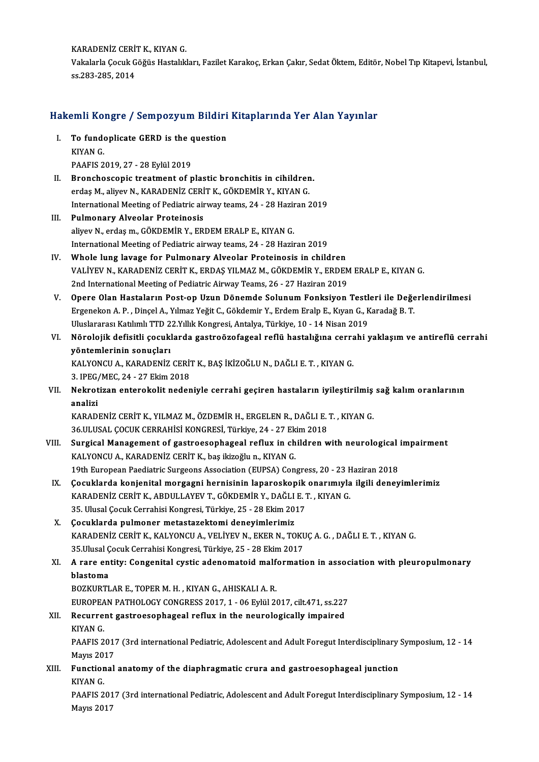KARADENİZ CERİT K., KIYAN G.<br>Vekalarla Casuk Cöğüs Hastalık

Vakalarla Çocuk Göğüs Hastalıkları, Fazilet Karakoç, Erkan Çakır, Sedat Öktem, Editör, Nobel Tıp Kitapevi, İstanbul,<br>ss.283-285. 2014 KARADENİZ CERİ'<br>Vakalarla Çocuk G<br>ss.283-285, 2014

# ss.283-285, 2014<br>Hakemli Kongre / Sempozyum Bildiri Kitaplarında Yer Alan Yayınlar

- akemli Kongre / Sempozyum Bildiri<br>I. To fundoplicate GERD is the question TO fund<br>To fund<br>KIYAN G.<br>PAAEIS 2 To fundoplicate GERD is the c<br>KIYAN G.<br>PAAFIS 2019, 27 - 28 Eylül 2019<br>Pronchossonis treatment of n KIYAN G.<br>PAAFIS 2019, 27 - 28 Eylül 2019<br>II. Bronchoscopic treatment of plastic bronchitis in cihildren.
- erdaş M., aliyev N., KARADENİZ CERİT K., GÖKDEMİR Y., KIYAN G. Bronchoscopic treatment of plastic bronchitis in cihildren.<br>erdaş M., aliyev N., KARADENİZ CERİT K., GÖKDEMİR Y., KIYAN G.<br>International Meeting of Pediatric airway teams, 24 - 28 Haziran 2019<br>Pulmonony Alvoolar Protoinosi
- III. Pulmonary Alveolar Proteinosis<br>aliyev N., erdaş m., GÖKDEMİR Y., ERDEM ERALP E., KIYAN G. International Meeting of Pediatric airway teams, 24 - 28 Hazir<br>Pulmonary Alveolar Proteinosis<br>aliyev N., erdaş m., GÖKDEMİR Y., ERDEM ERALP E., KIYAN G.<br>International Meeting of Pediatric sinuoy teams, 24 - 29 Hazir International Meeting of Pediatric airway teams, 24 - 28 Haziran 2019
- IV. Whole lung lavage for Pulmonary Alveolar Proteinosis in children International Meeting of Pediatric airway teams, 24 - 28 Haziran 2019<br>Whole lung lavage for Pulmonary Alveolar Proteinosis in children<br>VALİYEV N., KARADENİZ CERİT K., ERDAŞ YILMAZ M., GÖKDEMİR Y., ERDEM ERALP E., KIYAN G.<br> Whole lung lavage for Pulmonary Alveolar Proteinosis in children<br>VALİYEV N., KARADENİZ CERİT K., ERDAŞ YILMAZ M., GÖKDEMİR Y., ERDEM<br>2nd International Meeting of Pediatric Airway Teams, 26 - 27 Haziran 2019<br>Onexe Olan Hast VALİYEV N., KARADENİZ CERİT K., ERDAŞ YILMAZ M., GÖKDEMİR Y., ERDEM ERALP E., KIYAN G.<br>2nd International Meeting of Pediatric Airway Teams, 26 - 27 Haziran 2019<br>V. Opere Olan Hastaların Post-op Uzun Dönemde Solunum Fonksiy
- 2nd International Meeting of Pediatric Airway Teams, 26 27 Haziran 2019<br>Opere Olan Hastaların Post-op Uzun Dönemde Solunum Fonksiyon Testleri ile Değe<br>Ergenekon A. P. , Dinçel A., Yılmaz Yeğit C., Gökdemir Y., Erdem Eral Opere Olan Hastaların Post-op Uzun Dönemde Solunum Fonksiyon Testl<br>Ergenekon A. P. , Dinçel A., Yılmaz Yeğit C., Gökdemir Y., Erdem Eralp E., Kıyan G., K<br>Uluslararası Katılımlı TTD 22.Yıllık Kongresi, Antalya, Türkiye, 10 Ergenekon A. P. , Dinçel A., Yılmaz Yeğit C., Gökdemir Y., Erdem Eralp E., Kıyan G., Karadağ B. T.<br>Uluslararası Katılımlı TTD 22.Yıllık Kongresi, Antalya, Türkiye, 10 - 14 Nisan 2019<br>VI. Nörolojik defisitli çocuklarda
- Uluslararası Katılımlı TTD 2<br>Nörolojik defisitli çocukl<br>yöntemlerinin sonuçları<br>KALYONCU A. KARADENİZ Nörolojik defisitli çocuklarda gastroözofageal reflü hastalığına cerra<br>yöntemlerinin sonuçları<br>KALYONCU A., KARADENİZ CERİT K., BAŞ İKİZOĞLU N., DAĞLI E. T. , KIYAN G.<br>2. IPEC (MEC 24.-27 Ekim 2019

yöntemlerinin sonuçları<br>KALYONCU A., KARADENİZ CERİT K., BAŞ İKİZOĞLU N., DAĞLI E. T. , KIYAN G.<br>3. IPEG/MEC, 24 - 27 Ekim 2018

KALYONCU A., KARADENİZ CERİT K., BAŞ İKİZOĞLU N., DAĞLI E. T. , KIYAN G.<br>3. IPEG/MEC, 24 - 27 Ekim 2018<br>VII. Nekrotizan enterokolit nedeniyle cerrahi geçiren hastaların iyileştirilmiş sağ kalım oranlarının<br>analiri 3. IPEG<sub>/</sub><br>Nekrot<br>analizi<br><sup>KARAD</sup> Nekrotizan enterokolit nedeniyle cerrahi geçiren hastaların iyileştirilmiş<br>analizi<br>KARADENİZ CERİT K., YILMAZ M., ÖZDEMİR H., ERGELEN R., DAĞLI E. T. , KIYAN G.<br>26 III USAL COCUY CERRAHİSİ KONCRESİ Türkiye 24 - 27 Ekim 201

analizi<br>KARADENİZ CERİT K., YILMAZ M., ÖZDEMİR H., ERGELEN R., DAĞLI E.<br>36.ULUSAL ÇOCUK CERRAHİSİ KONGRESİ, Türkiye, 24 - 27 Ekim 2018<br>Sungisal Managamant of gastroosanhagaal refuy in ehildran y KARADENİZ CERİT K., YILMAZ M., ÖZDEMİR H., ERGELEN R., DAĞLI E. T. , KIYAN G.<br>36.ULUSAL ÇOCUK CERRAHİSİ KONGRESİ, Türkiye, 24 - 27 Ekim 2018<br>VIII. Surgical Management of gastroesophageal reflux in children with neurologica

- 36.ULUSAL ÇOCUK CERRAHİSİ KONGRESİ, Türkiye, 24 27 Ek<br>Surgical Management of gastroesophageal reflux in ch<br>KALYONCU A., KARADENİZ CERİT K., baş ikizoğlu n., KIYAN G.<br>19th European Paedistria Surgeans Association (EUPSA) Surgical Management of gastroesophageal reflux in children with neurological<br>KALYONCU A., KARADENİZ CERİT K., baş ikizoğlu n., KIYAN G.<br>19th European Paediatric Surgeons Association (EUPSA) Congress, 20 - 23 Haziran 2018<br>C 19th European Paediatric Surgeons Association (EUPSA) Congress, 20 - 23 Haziran 2018
- KALYONCU A., KARADENİZ CERİT K., baş ikizoğlu n., KIYAN G.<br>19th European Paediatric Surgeons Association (EUPSA) Congress, 20 23 Haziran 2018<br>IX. Çocuklarda konjenital morgagni hernisinin laparoskopik onarımıyla ilgi Çocuklarda konjenital morgagni hernisinin laparoskopik<br>KARADENİZ CERİT K., ABDULLAYEV T., GÖKDEMİR Y., DAĞLI E. 1<br>35. Ulusal Çocuk Cerrahisi Kongresi, Türkiye, 25 - 28 Ekim 2017<br>Cosuklarda pulmanar matastaraktami danayimlə KARADENİZ CERİT K., ABDULLAYEV T., GÖKDEMİR Y., DAĞLI<br>35. Ulusal Çocuk Cerrahisi Kongresi, Türkiye, 25 - 28 Ekim 20<br>X. Cocuklarda pulmoner metastazektomi deneyimlerimiz<br>KARADENİZ CERİT K. KALYONCU A. VELİYEV N. EKER N. TO
- X. Çocuklarda pulmoner metastazektomi deneyimlerimiz<br>KARADENİZ CERİT K., KALYONCU A., VELİYEV N., EKER N., TOKUÇ A. G. , DAĞLI E. T. , KIYAN G. 5 <mark>Çocuklarda pulmoner metastazektomi deneyimlerimiz</mark><br>KARADENİZ CERİT K., KALYONCU A., VELİYEV N., EKER N., TOKU<br>35.Ulusal Çocuk Cerrahisi Kongresi, Türkiye, 25 - 28 Ekim 2017<br>A. rare entity: Cengenital systis adenemetejd KARADENİZ CERİT K., KALYONCU A., VELİYEV N., EKER N., TOKUÇ A. G. , DAĞLI E. T. , KIYAN G.<br>35.Ulusal Çocuk Cerrahisi Kongresi, Türkiye, 25 - 28 Ekim 2017<br>XI. A rare entity: Congenital cystic adenomatoid malformation in

## 35.Ulusal Ç<br>A rare en<br>blastoma<br>POZKUPTI A rare entity: Congenital cystic adenomatoid malf<br>blastoma<br>BOZKURTLAR E., TOPER M. H. , KIYAN G., AHISKALI A. R.<br>FUROPEAN PATHOLOCY CONCRESS 2017-1-06 Evisi 20

blastoma<br>BOZKURTLAR E., TOPER M. H. , KIYAN G., AHISKALI A. R.<br>EUROPEAN PATHOLOGY CONGRESS 2017, 1 - 06 Eylül 2017, cilt.471, ss.227

## BOZKURTLAR E., TOPER M. H. , KIYAN G., AHISKALI A. R.<br>EUROPEAN PATHOLOGY CONGRESS 2017, 1 - 06 Eylül 2017, cilt.471, ss.227<br>XII. Recurrent gastroesophageal reflux in the neurologically impaired<br>KIVAN C EUROPEA<br>Recurre:<br>KIYAN G. Recurrent gastroesophageal reflux in the neurologically impaired<br>KIYAN G.<br>PAAFIS 2017 (3rd international Pediatric, Adolescent and Adult Foregut Interdisciplinary Symposium, 12 - 14<br>Mayrs 2017 KIYAN G.<br>PAAFIS 2017<br>Mayıs 2017<br>Eunstienal

PAAFIS 2017 (3rd international Pediatric, Adolescent and Adult Foregut Interdisciplinary<br>Mayıs 2017<br>XIII. Functional anatomy of the diaphragmatic crura and gastroesophageal junction

## Mayıs 20<br>Function<br>KIYAN G.<br>PAAEIS 2 Functional anatomy of the diaphragmatic crura and gastroesophageal junction<br>KIYAN G.<br>PAAFIS 2017 (3rd international Pediatric, Adolescent and Adult Foregut Interdisciplinary Symposium, 12 - 14<br>Mayra 2017

KIYAN G.<br>PAAFIS 201<br>Mayıs 2017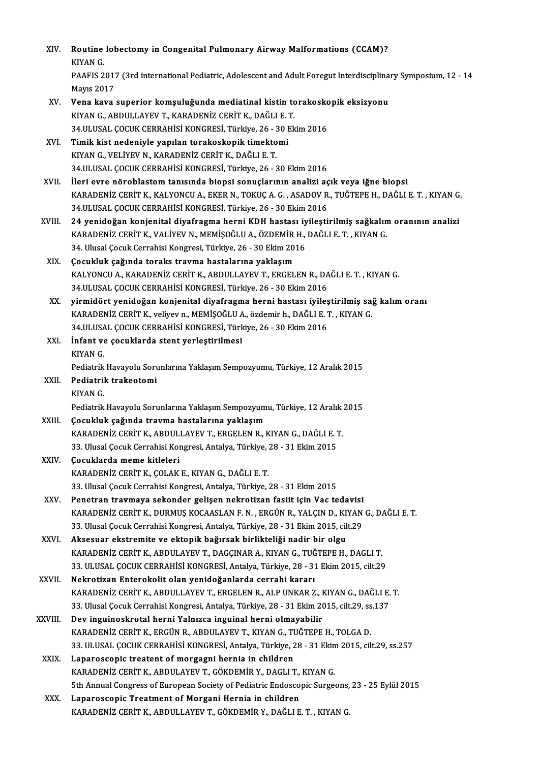| XIV.         | Routine lobectomy in Congenital Pulmonary Airway Malformations (CCAM)?                                                                       |
|--------------|----------------------------------------------------------------------------------------------------------------------------------------------|
|              | KIYAN G.<br>PAAFIS 2017 (3rd international Pediatric, Adolescent and Adult Foregut Interdisciplinary Symposium, 12 - 14<br><b>Mayıs 2017</b> |
| XV.          | Vena kava superior komşuluğunda mediatinal kistin torakoskopik eksizyonu                                                                     |
|              | KIYAN G., ABDULLAYEV T., KARADENİZ CERİT K., DAĞLI E. T.                                                                                     |
|              | 34.ULUSAL ÇOCUK CERRAHİSİ KONGRESİ, Türkiye, 26 - 30 Ekim 2016                                                                               |
| XVI.         | Timik kist nedeniyle yapılan torakoskopik timektomi                                                                                          |
|              | KIYAN G., VELİYEV N., KARADENİZ CERİT K., DAĞLI E. T.                                                                                        |
|              | 34.ULUSAL ÇOCUK CERRAHİSİ KONGRESİ, Türkiye, 26 - 30 Ekim 2016                                                                               |
| XVII.        | İleri evre nöroblastom tanısında biopsi sonuçlarının analizi açık veya iğne biopsi                                                           |
|              | KARADENİZ CERİT K., KALYONCU A., EKER N., TOKUÇ A. G. , ASADOV R., TUĞTEPE H., DAĞLI E. T. , KIYAN G.                                        |
|              | 34.ULUSAL ÇOCUK CERRAHİSİ KONGRESİ, Türkiye, 26 - 30 Ekim 2016                                                                               |
| XVIII.       | 24 yenidoğan konjenital diyafragma herni KDH hastası iyileştirilmiş sağkalım oranının analizi                                                |
|              | KARADENİZ CERİT K., VALİYEV N., MEMİŞOĞLU A., ÖZDEMİR H., DAĞLI E. T., KIYAN G.                                                              |
|              | 34. Ulusal Çocuk Cerrahisi Kongresi, Türkiye, 26 - 30 Ekim 2016                                                                              |
| XIX.         | Çocukluk çağında toraks travma hastalarına yaklaşım<br>KALYONCU A., KARADENİZ CERİT K., ABDULLAYEV T., ERGELEN R., DAĞLI E. T., KIYAN G.     |
|              | 34.ULUSAL ÇOCUK CERRAHİSİ KONGRESİ, Türkiye, 26 - 30 Ekim 2016                                                                               |
| XX.          | yirmidört yenidoğan konjenital diyafragma herni hastası iyileştirilmiş sağ kalım oranı                                                       |
|              | KARADENİZ CERİT K., veliyev n., MEMİŞOĞLU A., özdemir h., DAĞLI E. T., KIYAN G.                                                              |
|              | 34.ULUSAL ÇOCUK CERRAHİSİ KONGRESİ, Türkiye, 26 - 30 Ekim 2016                                                                               |
| XXI.         | İnfant ve çocuklarda stent yerleştirilmesi                                                                                                   |
|              | KIYAN G.                                                                                                                                     |
|              | Pediatrik Havayolu Sorunlarına Yaklaşım Sempozyumu, Türkiye, 12 Aralık 2015                                                                  |
| XXII.        | Pediatrik trakeotomi                                                                                                                         |
|              | KIYAN G.                                                                                                                                     |
|              | Pediatrik Havayolu Sorunlarına Yaklaşım Sempozyumu, Türkiye, 12 Aralık 2015                                                                  |
| XXIII.       | Çocukluk çağında travma hastalarına yaklaşım                                                                                                 |
|              | KARADENİZ CERİT K., ABDULLAYEV T., ERGELEN R., KIYAN G., DAĞLI E. T.                                                                         |
|              | 33. Ulusal Çocuk Cerrahisi Kongresi, Antalya, Türkiye, 28 - 31 Ekim 2015                                                                     |
| XXIV.        | Çocuklarda meme kitleleri                                                                                                                    |
|              | KARADENİZ CERİT K., ÇOLAK E., KIYAN G., DAĞLI E. T.<br>33. Ulusal Çocuk Cerrahisi Kongresi, Antalya, Türkiye, 28 - 31 Ekim 2015              |
| XXV.         | Penetran travmaya sekonder gelişen nekrotizan fasiit için Vac tedavisi                                                                       |
|              | KARADENİZ CERİT K., DURMUŞ KOCAASLAN F. N. , ERGÜN R., YALÇIN D., KIYAN G., DAĞLI E. T.                                                      |
|              | 33. Ulusal Çocuk Cerrahisi Kongresi, Antalya, Türkiye, 28 - 31 Ekim 2015, cilt.29                                                            |
| XXVI.        | Aksesuar ekstremite ve ektopik bağırsak birlikteliği nadir bir olgu                                                                          |
|              | KARADENİZ CERİT K., ABDULAYEV T., DAGÇINAR A., KIYAN G., TUĞTEPE H., DAGLI T.                                                                |
|              | 33. ULUSAL ÇOCUK CERRAHİSİ KONGRESİ, Antalya, Türkiye, 28 - 31 Ekim 2015, cilt.29                                                            |
| <b>XXVII</b> | Nekrotizan Enterokolit olan yenidoğanlarda cerrahi kararı                                                                                    |
|              | KARADENİZ CERİT K., ABDULLAYEV T., ERGELEN R., ALP UNKAR Z., KIYAN G., DAĞLI E. T.                                                           |
|              | 33. Ulusal Çocuk Cerrahisi Kongresi, Antalya, Türkiye, 28 - 31 Ekim 2015, cilt.29, ss.137                                                    |
| XXVIII.      | Dev inguinoskrotal herni Yalnızca inguinal herni olmayabilir                                                                                 |
|              | KARADENİZ CERİT K., ERGÜN R., ABDULAYEV T., KIYAN G., TUĞTEPE H., TOLGA D.                                                                   |
|              | 33. ULUSAL ÇOCUK CERRAHİSİ KONGRESİ, Antalya, Türkiye, 28 - 31 Ekim 2015, cilt.29, ss.257                                                    |
| XXIX.        | Laparoscopic treatent of morgagni hernia in children                                                                                         |
|              | KARADENİZ CERİT K., ABDULAYEV T., GÖKDEMİR Y., DAGLI T., KIYAN G.                                                                            |
|              | 5th Annual Congress of European Society of Pediatric Endoscopic Surgeons, 23 - 25 Eylül 2015                                                 |
| XXX.         | Laparoscopic Treatment of Morgani Hernia in children                                                                                         |
|              | KARADENİZ CERİT K., ABDULLAYEV T., GÖKDEMİR Y., DAĞLI E. T., KIYAN G.                                                                        |